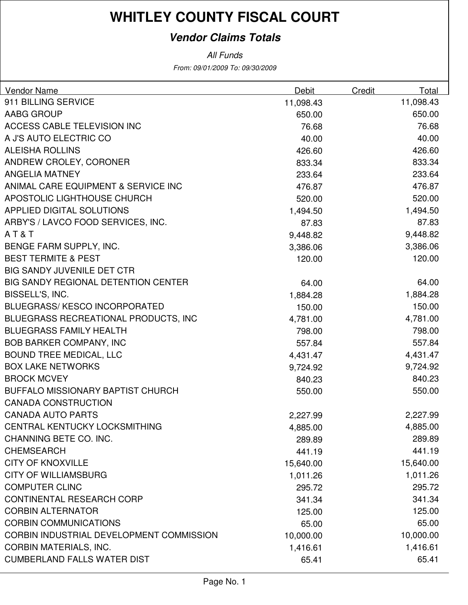### **Vendor Claims Totals**

| <b>Vendor Name</b>                         | Debit     | Credit | Total     |
|--------------------------------------------|-----------|--------|-----------|
| 911 BILLING SERVICE                        | 11,098.43 |        | 11,098.43 |
| AABG GROUP                                 | 650.00    |        | 650.00    |
| <b>ACCESS CABLE TELEVISION INC</b>         | 76.68     |        | 76.68     |
| A J'S AUTO ELECTRIC CO                     | 40.00     |        | 40.00     |
| <b>ALEISHA ROLLINS</b>                     | 426.60    |        | 426.60    |
| ANDREW CROLEY, CORONER                     | 833.34    |        | 833.34    |
| <b>ANGELIA MATNEY</b>                      | 233.64    |        | 233.64    |
| ANIMAL CARE EQUIPMENT & SERVICE INC        | 476.87    |        | 476.87    |
| APOSTOLIC LIGHTHOUSE CHURCH                | 520.00    |        | 520.00    |
| <b>APPLIED DIGITAL SOLUTIONS</b>           | 1,494.50  |        | 1,494.50  |
| ARBY'S / LAVCO FOOD SERVICES, INC.         | 87.83     |        | 87.83     |
| AT&T                                       | 9,448.82  |        | 9,448.82  |
| BENGE FARM SUPPLY, INC.                    | 3,386.06  |        | 3,386.06  |
| <b>BEST TERMITE &amp; PEST</b>             | 120.00    |        | 120.00    |
| <b>BIG SANDY JUVENILE DET CTR</b>          |           |        |           |
| <b>BIG SANDY REGIONAL DETENTION CENTER</b> | 64.00     |        | 64.00     |
| BISSELL'S, INC.                            | 1,884.28  |        | 1,884.28  |
| BLUEGRASS/KESCO INCORPORATED               | 150.00    |        | 150.00    |
| BLUEGRASS RECREATIONAL PRODUCTS, INC       | 4,781.00  |        | 4,781.00  |
| <b>BLUEGRASS FAMILY HEALTH</b>             | 798.00    |        | 798.00    |
| <b>BOB BARKER COMPANY, INC</b>             | 557.84    |        | 557.84    |
| <b>BOUND TREE MEDICAL, LLC</b>             | 4,431.47  |        | 4,431.47  |
| <b>BOX LAKE NETWORKS</b>                   | 9,724.92  |        | 9,724.92  |
| <b>BROCK MCVEY</b>                         | 840.23    |        | 840.23    |
| <b>BUFFALO MISSIONARY BAPTIST CHURCH</b>   | 550.00    |        | 550.00    |
| <b>CANADA CONSTRUCTION</b>                 |           |        |           |
| <b>CANADA AUTO PARTS</b>                   | 2,227.99  |        | 2,227.99  |
| CENTRAL KENTUCKY LOCKSMITHING              | 4,885.00  |        | 4,885.00  |
| CHANNING BETE CO. INC.                     | 289.89    |        | 289.89    |
| <b>CHEMSEARCH</b>                          | 441.19    |        | 441.19    |
| <b>CITY OF KNOXVILLE</b>                   | 15,640.00 |        | 15,640.00 |
| <b>CITY OF WILLIAMSBURG</b>                | 1,011.26  |        | 1,011.26  |
| <b>COMPUTER CLINC</b>                      | 295.72    |        | 295.72    |
| <b>CONTINENTAL RESEARCH CORP</b>           | 341.34    |        | 341.34    |
| <b>CORBIN ALTERNATOR</b>                   | 125.00    |        | 125.00    |
| <b>CORBIN COMMUNICATIONS</b>               | 65.00     |        | 65.00     |
| CORBIN INDUSTRIAL DEVELOPMENT COMMISSION   | 10,000.00 |        | 10,000.00 |
| <b>CORBIN MATERIALS, INC.</b>              | 1,416.61  |        | 1,416.61  |
| <b>CUMBERLAND FALLS WATER DIST</b>         | 65.41     |        | 65.41     |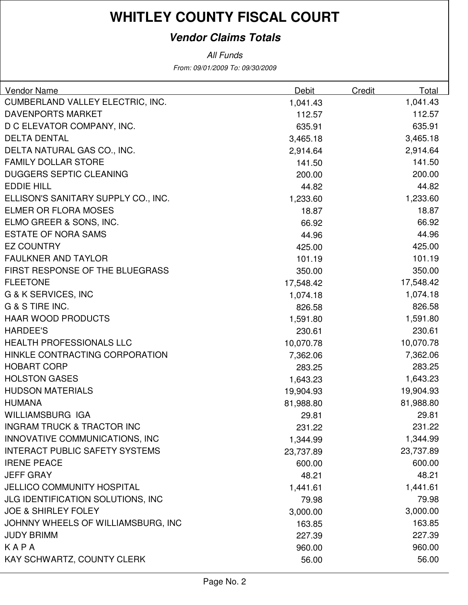### **Vendor Claims Totals**

| Vendor Name                           | Debit     | Credit | Total     |
|---------------------------------------|-----------|--------|-----------|
| CUMBERLAND VALLEY ELECTRIC, INC.      | 1,041.43  |        | 1,041.43  |
| <b>DAVENPORTS MARKET</b>              | 112.57    |        | 112.57    |
| D C ELEVATOR COMPANY, INC.            | 635.91    |        | 635.91    |
| <b>DELTA DENTAL</b>                   | 3,465.18  |        | 3,465.18  |
| DELTA NATURAL GAS CO., INC.           | 2,914.64  |        | 2,914.64  |
| <b>FAMILY DOLLAR STORE</b>            | 141.50    |        | 141.50    |
| <b>DUGGERS SEPTIC CLEANING</b>        | 200.00    |        | 200.00    |
| <b>EDDIE HILL</b>                     | 44.82     |        | 44.82     |
| ELLISON'S SANITARY SUPPLY CO., INC.   | 1,233.60  |        | 1,233.60  |
| <b>ELMER OR FLORA MOSES</b>           | 18.87     |        | 18.87     |
| ELMO GREER & SONS, INC.               | 66.92     |        | 66.92     |
| <b>ESTATE OF NORA SAMS</b>            | 44.96     |        | 44.96     |
| <b>EZ COUNTRY</b>                     | 425.00    |        | 425.00    |
| <b>FAULKNER AND TAYLOR</b>            | 101.19    |        | 101.19    |
| FIRST RESPONSE OF THE BLUEGRASS       | 350.00    |        | 350.00    |
| <b>FLEETONE</b>                       | 17,548.42 |        | 17,548.42 |
| <b>G &amp; K SERVICES, INC</b>        | 1,074.18  |        | 1,074.18  |
| G & S TIRE INC.                       | 826.58    |        | 826.58    |
| <b>HAAR WOOD PRODUCTS</b>             | 1,591.80  |        | 1,591.80  |
| <b>HARDEE'S</b>                       | 230.61    |        | 230.61    |
| <b>HEALTH PROFESSIONALS LLC</b>       | 10,070.78 |        | 10,070.78 |
| HINKLE CONTRACTING CORPORATION        | 7,362.06  |        | 7,362.06  |
| <b>HOBART CORP</b>                    | 283.25    |        | 283.25    |
| <b>HOLSTON GASES</b>                  | 1,643.23  |        | 1,643.23  |
| <b>HUDSON MATERIALS</b>               | 19,904.93 |        | 19,904.93 |
| <b>HUMANA</b>                         | 81,988.80 |        | 81,988.80 |
| <b>WILLIAMSBURG IGA</b>               | 29.81     |        | 29.81     |
| <b>INGRAM TRUCK &amp; TRACTOR INC</b> | 231.22    |        | 231.22    |
| INNOVATIVE COMMUNICATIONS, INC        | 1,344.99  |        | 1,344.99  |
| <b>INTERACT PUBLIC SAFETY SYSTEMS</b> | 23,737.89 |        | 23,737.89 |
| <b>IRENE PEACE</b>                    | 600.00    |        | 600.00    |
| <b>JEFF GRAY</b>                      | 48.21     |        | 48.21     |
| <b>JELLICO COMMUNITY HOSPITAL</b>     | 1,441.61  |        | 1,441.61  |
| JLG IDENTIFICATION SOLUTIONS, INC     | 79.98     |        | 79.98     |
| <b>JOE &amp; SHIRLEY FOLEY</b>        | 3,000.00  |        | 3,000.00  |
| JOHNNY WHEELS OF WILLIAMSBURG, INC    | 163.85    |        | 163.85    |
| <b>JUDY BRIMM</b>                     | 227.39    |        | 227.39    |
| KAPA                                  | 960.00    |        | 960.00    |
| KAY SCHWARTZ, COUNTY CLERK            | 56.00     |        | 56.00     |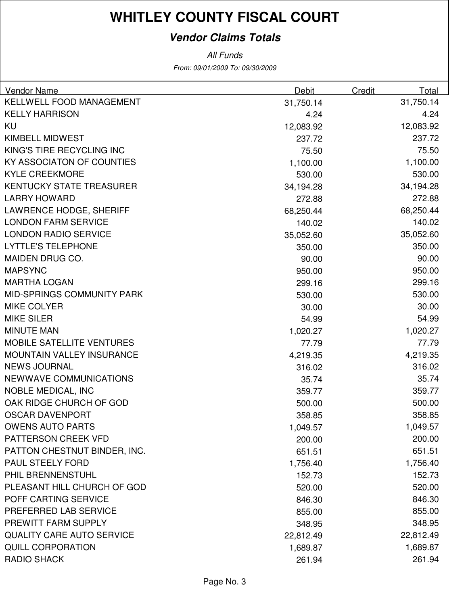### **Vendor Claims Totals**

| <b>Vendor Name</b>                | <b>Debit</b> | Credit | Total     |
|-----------------------------------|--------------|--------|-----------|
| KELLWELL FOOD MANAGEMENT          | 31,750.14    |        | 31,750.14 |
| <b>KELLY HARRISON</b>             | 4.24         |        | 4.24      |
| KU                                | 12,083.92    |        | 12,083.92 |
| <b>KIMBELL MIDWEST</b>            | 237.72       |        | 237.72    |
| KING'S TIRE RECYCLING INC         | 75.50        |        | 75.50     |
| KY ASSOCIATON OF COUNTIES         | 1,100.00     |        | 1,100.00  |
| <b>KYLE CREEKMORE</b>             | 530.00       |        | 530.00    |
| <b>KENTUCKY STATE TREASURER</b>   | 34,194.28    |        | 34,194.28 |
| <b>LARRY HOWARD</b>               | 272.88       |        | 272.88    |
| <b>LAWRENCE HODGE, SHERIFF</b>    | 68,250.44    |        | 68,250.44 |
| <b>LONDON FARM SERVICE</b>        | 140.02       |        | 140.02    |
| <b>LONDON RADIO SERVICE</b>       | 35,052.60    |        | 35,052.60 |
| <b>LYTTLE'S TELEPHONE</b>         | 350.00       |        | 350.00    |
| MAIDEN DRUG CO.                   | 90.00        |        | 90.00     |
| <b>MAPSYNC</b>                    | 950.00       |        | 950.00    |
| <b>MARTHA LOGAN</b>               | 299.16       |        | 299.16    |
| <b>MID-SPRINGS COMMUNITY PARK</b> | 530.00       |        | 530.00    |
| <b>MIKE COLYER</b>                | 30.00        |        | 30.00     |
| <b>MIKE SILER</b>                 | 54.99        |        | 54.99     |
| <b>MINUTE MAN</b>                 | 1,020.27     |        | 1,020.27  |
| <b>MOBILE SATELLITE VENTURES</b>  | 77.79        |        | 77.79     |
| <b>MOUNTAIN VALLEY INSURANCE</b>  | 4,219.35     |        | 4,219.35  |
| <b>NEWS JOURNAL</b>               | 316.02       |        | 316.02    |
| NEWWAVE COMMUNICATIONS            | 35.74        |        | 35.74     |
| <b>NOBLE MEDICAL, INC</b>         | 359.77       |        | 359.77    |
| OAK RIDGE CHURCH OF GOD           | 500.00       |        | 500.00    |
| <b>OSCAR DAVENPORT</b>            | 358.85       |        | 358.85    |
| <b>OWENS AUTO PARTS</b>           | 1,049.57     |        | 1,049.57  |
| <b>PATTERSON CREEK VFD</b>        | 200.00       |        | 200.00    |
| PATTON CHESTNUT BINDER, INC.      | 651.51       |        | 651.51    |
| <b>PAUL STEELY FORD</b>           | 1,756.40     |        | 1,756.40  |
| PHIL BRENNENSTUHL                 | 152.73       |        | 152.73    |
| PLEASANT HILL CHURCH OF GOD       | 520.00       |        | 520.00    |
| POFF CARTING SERVICE              | 846.30       |        | 846.30    |
| PREFERRED LAB SERVICE             | 855.00       |        | 855.00    |
| PREWITT FARM SUPPLY               | 348.95       |        | 348.95    |
| <b>QUALITY CARE AUTO SERVICE</b>  | 22,812.49    |        | 22,812.49 |
| <b>QUILL CORPORATION</b>          | 1,689.87     |        | 1,689.87  |
| <b>RADIO SHACK</b>                | 261.94       |        | 261.94    |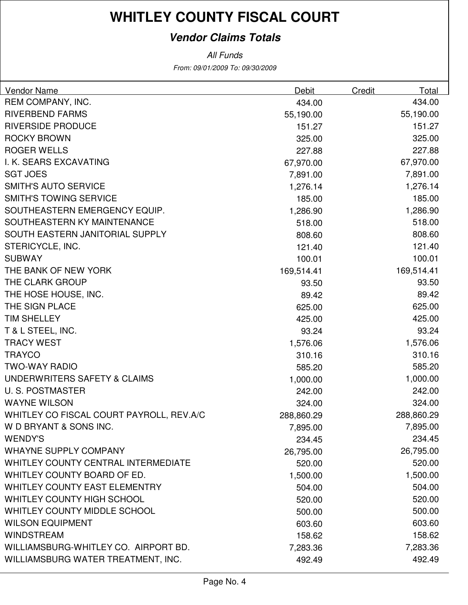### **Vendor Claims Totals**

| Vendor Name                                | <b>Debit</b> | <b>Credit</b> | Total      |
|--------------------------------------------|--------------|---------------|------------|
| REM COMPANY, INC.                          | 434.00       |               | 434.00     |
| <b>RIVERBEND FARMS</b>                     | 55,190.00    |               | 55,190.00  |
| <b>RIVERSIDE PRODUCE</b>                   | 151.27       |               | 151.27     |
| <b>ROCKY BROWN</b>                         | 325.00       |               | 325.00     |
| <b>ROGER WELLS</b>                         | 227.88       |               | 227.88     |
| I. K. SEARS EXCAVATING                     | 67,970.00    |               | 67,970.00  |
| <b>SGT JOES</b>                            | 7,891.00     |               | 7,891.00   |
| <b>SMITH'S AUTO SERVICE</b>                | 1,276.14     |               | 1,276.14   |
| <b>SMITH'S TOWING SERVICE</b>              | 185.00       |               | 185.00     |
| SOUTHEASTERN EMERGENCY EQUIP.              | 1,286.90     |               | 1,286.90   |
| SOUTHEASTERN KY MAINTENANCE                | 518.00       |               | 518.00     |
| SOUTH EASTERN JANITORIAL SUPPLY            | 808.60       |               | 808.60     |
| STERICYCLE, INC.                           | 121.40       |               | 121.40     |
| <b>SUBWAY</b>                              | 100.01       |               | 100.01     |
| THE BANK OF NEW YORK                       | 169,514.41   |               | 169,514.41 |
| THE CLARK GROUP                            | 93.50        |               | 93.50      |
| THE HOSE HOUSE, INC.                       | 89.42        |               | 89.42      |
| THE SIGN PLACE                             | 625.00       |               | 625.00     |
| <b>TIM SHELLEY</b>                         | 425.00       |               | 425.00     |
| T & L STEEL, INC.                          | 93.24        |               | 93.24      |
| <b>TRACY WEST</b>                          | 1,576.06     |               | 1,576.06   |
| <b>TRAYCO</b>                              | 310.16       |               | 310.16     |
| <b>TWO-WAY RADIO</b>                       | 585.20       |               | 585.20     |
| UNDERWRITERS SAFETY & CLAIMS               | 1,000.00     |               | 1,000.00   |
| <b>U.S. POSTMASTER</b>                     | 242.00       |               | 242.00     |
| <b>WAYNE WILSON</b>                        | 324.00       |               | 324.00     |
| WHITLEY CO FISCAL COURT PAYROLL, REV.A/C   | 288,860.29   |               | 288,860.29 |
| W D BRYANT & SONS INC.                     | 7,895.00     |               | 7,895.00   |
| <b>WENDY'S</b>                             | 234.45       |               | 234.45     |
| <b>WHAYNE SUPPLY COMPANY</b>               | 26,795.00    |               | 26,795.00  |
| <b>WHITLEY COUNTY CENTRAL INTERMEDIATE</b> | 520.00       |               | 520.00     |
| WHITLEY COUNTY BOARD OF ED.                | 1,500.00     |               | 1,500.00   |
| WHITLEY COUNTY EAST ELEMENTRY              | 504.00       |               | 504.00     |
| WHITLEY COUNTY HIGH SCHOOL                 | 520.00       |               | 520.00     |
| WHITLEY COUNTY MIDDLE SCHOOL               | 500.00       |               | 500.00     |
| <b>WILSON EQUIPMENT</b>                    | 603.60       |               | 603.60     |
| <b>WINDSTREAM</b>                          | 158.62       |               | 158.62     |
| WILLIAMSBURG-WHITLEY CO. AIRPORT BD.       | 7,283.36     |               | 7,283.36   |
| WILLIAMSBURG WATER TREATMENT, INC.         | 492.49       |               | 492.49     |